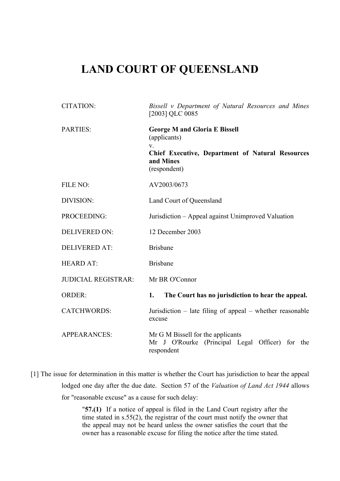## **LAND COURT OF QUEENSLAND**

| <b>CITATION:</b>           | Bissell v Department of Natural Resources and Mines<br>[2003] QLC 0085                                                                                  |
|----------------------------|---------------------------------------------------------------------------------------------------------------------------------------------------------|
| <b>PARTIES:</b>            | <b>George M and Gloria E Bissell</b><br>(applicants)<br>$V_{-}$<br><b>Chief Executive, Department of Natural Resources</b><br>and Mines<br>(respondent) |
| FILE NO:                   | AV2003/0673                                                                                                                                             |
| DIVISION:                  | Land Court of Queensland                                                                                                                                |
| PROCEEDING:                | Jurisdiction – Appeal against Unimproved Valuation                                                                                                      |
| <b>DELIVERED ON:</b>       | 12 December 2003                                                                                                                                        |
| <b>DELIVERED AT:</b>       | <b>Brisbane</b>                                                                                                                                         |
| <b>HEARD AT:</b>           | <b>Brisbane</b>                                                                                                                                         |
| <b>JUDICIAL REGISTRAR:</b> | Mr BR O'Connor                                                                                                                                          |
| <b>ORDER:</b>              | The Court has no jurisdiction to hear the appeal.<br>1.                                                                                                 |
| <b>CATCHWORDS:</b>         | Jurisdiction $-$ late filing of appeal $-$ whether reasonable<br>excuse                                                                                 |
| <b>APPEARANCES:</b>        | Mr G M Bissell for the applicants<br>Mr J O'Rourke (Principal Legal Officer) for the<br>respondent                                                      |

[1] The issue for determination in this matter is whether the Court has jurisdiction to hear the appeal lodged one day after the due date. Section 57 of the *Valuation of Land Act 1944* allows for "reasonable excuse" as a cause for such delay:

> "**57.(1)** If a notice of appeal is filed in the Land Court registry after the time stated in s.55(2), the registrar of the court must notify the owner that the appeal may not be heard unless the owner satisfies the court that the owner has a reasonable excuse for filing the notice after the time stated.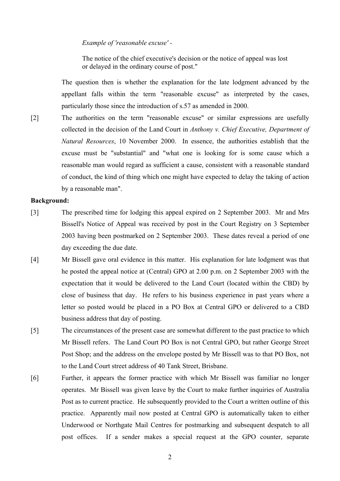## *Example of 'reasonable excuse' -*

The notice of the chief executive's decision or the notice of appeal was lost or delayed in the ordinary course of post."

The question then is whether the explanation for the late lodgment advanced by the appellant falls within the term "reasonable excuse" as interpreted by the cases, particularly those since the introduction of s.57 as amended in 2000.

[2] The authorities on the term "reasonable excuse" or similar expressions are usefully collected in the decision of the Land Court in *Anthony v. Chief Executive, Department of Natural Resources*, 10 November 2000. In essence, the authorities establish that the excuse must be "substantial" and "what one is looking for is some cause which a reasonable man would regard as sufficient a cause, consistent with a reasonable standard of conduct, the kind of thing which one might have expected to delay the taking of action by a reasonable man".

## **Background:**

- [3] The prescribed time for lodging this appeal expired on 2 September 2003. Mr and Mrs Bissell's Notice of Appeal was received by post in the Court Registry on 3 September 2003 having been postmarked on 2 September 2003. These dates reveal a period of one day exceeding the due date.
- [4] Mr Bissell gave oral evidence in this matter. His explanation for late lodgment was that he posted the appeal notice at (Central) GPO at 2.00 p.m. on 2 September 2003 with the expectation that it would be delivered to the Land Court (located within the CBD) by close of business that day. He refers to his business experience in past years where a letter so posted would be placed in a PO Box at Central GPO or delivered to a CBD business address that day of posting.
- [5] The circumstances of the present case are somewhat different to the past practice to which Mr Bissell refers. The Land Court PO Box is not Central GPO, but rather George Street Post Shop; and the address on the envelope posted by Mr Bissell was to that PO Box, not to the Land Court street address of 40 Tank Street, Brisbane.
- [6] Further, it appears the former practice with which Mr Bissell was familiar no longer operates. Mr Bissell was given leave by the Court to make further inquiries of Australia Post as to current practice. He subsequently provided to the Court a written outline of this practice. Apparently mail now posted at Central GPO is automatically taken to either Underwood or Northgate Mail Centres for postmarking and subsequent despatch to all post offices. If a sender makes a special request at the GPO counter, separate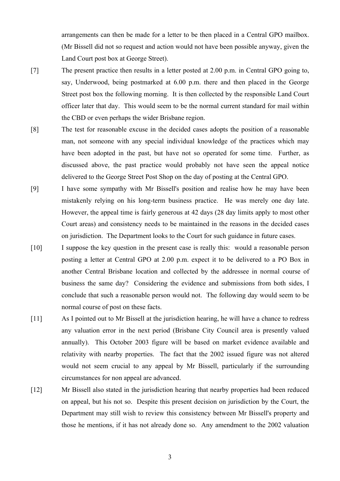arrangements can then be made for a letter to be then placed in a Central GPO mailbox. (Mr Bissell did not so request and action would not have been possible anyway, given the Land Court post box at George Street).

- [7] The present practice then results in a letter posted at 2.00 p.m. in Central GPO going to, say, Underwood, being postmarked at 6.00 p.m. there and then placed in the George Street post box the following morning. It is then collected by the responsible Land Court officer later that day. This would seem to be the normal current standard for mail within the CBD or even perhaps the wider Brisbane region.
- [8] The test for reasonable excuse in the decided cases adopts the position of a reasonable man, not someone with any special individual knowledge of the practices which may have been adopted in the past, but have not so operated for some time. Further, as discussed above, the past practice would probably not have seen the appeal notice delivered to the George Street Post Shop on the day of posting at the Central GPO.
- [9] I have some sympathy with Mr Bissell's position and realise how he may have been mistakenly relying on his long-term business practice. He was merely one day late. However, the appeal time is fairly generous at 42 days (28 day limits apply to most other Court areas) and consistency needs to be maintained in the reasons in the decided cases on jurisdiction. The Department looks to the Court for such guidance in future cases.
- [10] I suppose the key question in the present case is really this: would a reasonable person posting a letter at Central GPO at 2.00 p.m. expect it to be delivered to a PO Box in another Central Brisbane location and collected by the addressee in normal course of business the same day? Considering the evidence and submissions from both sides, I conclude that such a reasonable person would not. The following day would seem to be normal course of post on these facts.
- [11] As I pointed out to Mr Bissell at the jurisdiction hearing, he will have a chance to redress any valuation error in the next period (Brisbane City Council area is presently valued annually). This October 2003 figure will be based on market evidence available and relativity with nearby properties. The fact that the 2002 issued figure was not altered would not seem crucial to any appeal by Mr Bissell, particularly if the surrounding circumstances for non appeal are advanced.
- [12] Mr Bissell also stated in the jurisdiction hearing that nearby properties had been reduced on appeal, but his not so. Despite this present decision on jurisdiction by the Court, the Department may still wish to review this consistency between Mr Bissell's property and those he mentions, if it has not already done so. Any amendment to the 2002 valuation

3